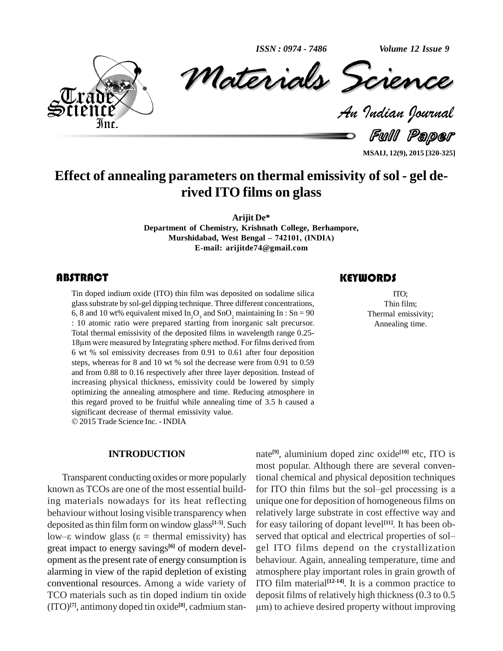*ISSN : 0974 - 7486*

*Volume 12 Issue 9*



*Materials Science* Volume 12 Issue 9<br> **CREARCE**<br> *Padian Pournal* ISSN: 0974-7486 Volume 12 Issue 9

Full Paper

**MSAIJ, 12(9), 2015 [320-325]**

# **Effect of annealing parameters on thermal emissivity of sol - gel de rived ITO films on glass**

**Arijit De\***

**Department of Chemistry, Krishnath College, Berhampore, Murshidabad, West Bengal <sup>ñ</sup> 742101, (INDIA) E-mail: [arijitde74@gmail.com](mailto:arijitde74@gmail.com)**

Tin doped indium oxide (ITO) thin film was deposited on sodalime silica ITO;<br>glass substrate by sol-gel dipping technique. Three different concentrations, Thin film;<br>6, 8 and 10 wt% equivalent mixed In<sub>2</sub>O<sub>3</sub> and SnO<sub>2</sub> m Tin doped indium oxide(ITO) thin film was deposited on sodalime silica glass substrate by sol-gel dipping technique. Three different concentrations, 6, 8 and 10 wt% equivalent mixed In<sub>2</sub>O<sub>2</sub> and SnO<sub>2</sub> maintaining In : Sn = 90 : 10 atomic ratio were prepared starting from inorganic salt precursor. Total thermal emissivity of the deposited films in wavelength range 0.25- <sup>18</sup>µm were measured by Integrating sphere method. For films derived from 6 wt % sol emissivity decreases from 0.91 to 0.61 after four deposition steps, whereas for 8 and 10 wt % sol the decrease were from 0.91 to 0.59 and from 0.88to 0.16 respectively after three layer deposition. Instead of increasing physical thickness, emissivity could be lowered by simply optimizing the annealing atmosphere and time. Reducing atmosphere in this regard proved to be fruitful while annealing time of 3.5 h caused a significant decrease of thermal emissivity value. 2015Trade Science Inc. - INDIA

#### **INTRODUCTION**

Transparent conducting oxides or more popularly known as TCOs are one of the most essential building materials nowadays for its heat reflecting behaviour without losing visible transparency when deposited as thin film form on window glass<sup>[1-5]</sup>. Such for eas behaviour without losing visible transparency when related deposited as thin film form on window glass<sup>[1-5]</sup>. Such for e low– $\varepsilon$  window glass ( $\varepsilon$  = thermal emissivity) has served great impact to energy savings<sup>[6]</sup> of modern devel- gel opment asthe present rate of energy consumption is alarming in view of the rapid depletion of existing conventional resources. Among a wide variety of TCO materials such as tin doped indium tin oxide (ITO) **[7]**, antimony doped tin oxide **[8]**, cadmium stan-

# **KEYWORDS**

ITO; Thin film; Thermal emissivity; Annealing time.

nate **[9]**, aluminium doped zinc oxide **[10]** etc, ITO is most popular. Although there are several conventional chemical and physical deposition techniques most popular. Although there are several conventional chemical and physical deposition techniques<br>for ITO thin films but the sol–gel processing is a unique one for deposition of homogeneousfilms on relatively large substrate in cost effective way and for easy tailoring of dopant level **[11]**. It has been ob relatively large substrate in cost effective way and<br>for easy tailoring of dopant level<sup>[11]</sup>. It has been ob-<br>served that optical and electrical properties of sol– gel ITO films depend on the crystallization behaviour. Again, annealing temperature, time and atmosphere play important roles in grain growth of ITO film material<sup>[12-14]</sup>. It is a common practice to deposit films of relatively high thickness (0.3 to 0.5  $\mu$ m) to achieve desired property without improving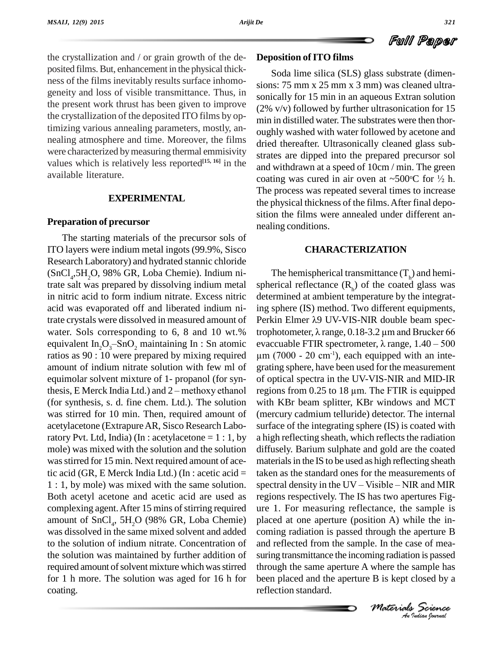the crystallization and / or grain growth of the de posited films.But, enhancement in the physical thick ness of the films inevitably results surface inhomo geneity and loss of visible transmittance. Thus, in the present work thrust has been given to improve the crystallization of the deposited ITO films by optimizing various annealing parameters, mostly, an nealing atmosphere and time. Moreover, the films were characterized by measuring thermal emmisivity values which is relatively less reported<sup>[15, 16]</sup> in the  $\frac{1}{2}$ available literature.

# **EXPERIMENTAL**

#### **Preparation of precursor**

The starting materials of the precursor sols of ITO layers were indium metal ingots (99.9%, Sisco Research Laboratory) and hydrated stannic chloride  $(SnCl<sub>4</sub>, 5H<sub>2</sub>O, 98% GR, Loba Chemie)$ . Indium ni-<br>The trate salt was prepared by dissolving indium metal in nitric acid to form indium nitrate. Excess nitric acid was evaporated off and liberated indium nitrate crystals were dissolved in measured amount of water. Sols corresponding to 6, 8 and 10 wt.% equivalent In<sub>2</sub>O<sub>3</sub>-SnO<sub>2</sub> maintaining In : Sn atomic evaccuable FTIR spectrometer,  $\lambda$  range, 1.40 – 500 ratios as 90 : 10 were prepared by mixing required amount of indium nitrate solution with few ml of equimolar solvent mixture of 1- propanol (for synamount of indium nitrate solution with few ml of grape<br>equimolar solvent mixture of 1- propanol (for syn-<br>thesis, E Merck India Ltd.) and 2 – methoxy ethanol reg (for synthesis, s. d. fine chem. Ltd.). The solution was stirred for 10 min. Then, required amount of acetylacetone (ExtrapureAR, Sisco Research Laboratory Pvt. Ltd, India) (In : acetylacetone =  $1:1$ , by mole) was mixed with the solution and the solution was stirred for 15 min. Next required amount of acetic acid (GR, E Merck India Ltd.) (In : acetic acid = 1 : 1, by mole) was mixed with the same solution. spectral density in the UV – Visible – NIR and MIR Both acetyl acetone and acetic acid are used as complexing agent. After 15 mins of stirring required amount of  $SnCl<sub>4</sub>$ ,  $5H<sub>2</sub>O$  (98% GR, Loba Chemie) place was dissolved in the same mixed solvent and added to the solution of indium nitrate. Concentration of the solution was maintained by further addition of required amount of solvent mixture which was stirred for 1 h more. The solution was aged for 16 h for coating.

#### **Deposition ofITO films**

Soda lime silica (SLS) glass substrate (dimen sions: 75 mm x 25 mm x 3 mm) was cleaned ultra sonically for 15 min in an aqueous Extran solution (2% v/v) followed by further ultrasonication for 15 min in distilled water. The substrates were then thor oughly washed with water followed by acetone and dried thereafter. Ultrasonically cleaned glass sub strates are dipped into the prepared precursor sol<br>and withdrawn at a speed of  $10 \text{cm} / \text{min}$ . The green<br>coating was cured in air oven at ~500°C for  $\frac{1}{2}$  h. and withdrawn at a speed of 10cm / min. The green coating was cured in air oven at ~500 °C for  $\frac{1}{2}$  h. The process was repeated several times to increase the physical thickness of the films.After final depo sition the films were annealed under different an nealing conditions.

# **CHARACTERIZATION**

*M Indian Indiana Particular*<br> *Moterials Science*<br> *Moterials Science*<br> *A Mudian bornal* and reflected from the sample. In the case of mea-The hemispherical transmittance  $(T_h)$  and hemispherical reflectance  $(R_h)$  of the coated glass was determined at ambient temperature by the integrating sphere (IS) method. Two different equipments, determined at ambient temperature by the integrat-<br>ing sphere (IS) method. Two different equipments,<br>Perkin Elmer  $\lambda$ 9 UV-VIS-NIR double beam specing sphere (IS) method. Two different equipments,<br>Perkin Elmer  $\lambda$ 9 UV-VIS-NIR double beam spec-<br>trophotometer,  $\lambda$  range, 0.18-3.2 µm and Brucker 66 Perkin Elmer  $\lambda$ 9 UV-VIS-NIR double beam spectrophotometer,  $\lambda$  range, 0.18-3.2 µm and Brucker 66<br>evaccuable FTIR spectrometer,  $\lambda$  range, 1.40 – 500 trophotometer,  $\lambda$  range, 0.18-3.2 µm and Brucker 66  $\mu$ m (7000 - 20 cm<sup>-1</sup>), each equipped with an integrating sphere, have been used for the measurement regions from 0.25 to <sup>18</sup> µm.The FTIR is equipped of optical spectra in the UV-VIS-NIR and MID-IR with KBr beam splitter, KBr windows and MCT (mercury cadmium telluride) detector. The internal surface of the integrating sphere (IS) is coated with a high reflecting sheath, which reflects the radiation diffusely. Barium sulphate and gold are the coated materials in the IS to be used as high reflecting sheath<br>taken as the standard ones for the measurements of<br>spectral density in the UV – Visible – NIR and MIR taken as the standard ones for the measurements of regions respectively. The IS has two apertures Fig ure 1. For measuring reflectance, the sample is placed at one aperture (position A) while the in coming radiation is passed through the aperture B suring transmittance the incoming radiation is passed through the same aperture A where the sample has been placed and the aperture B is kept closed by a reflection standard.

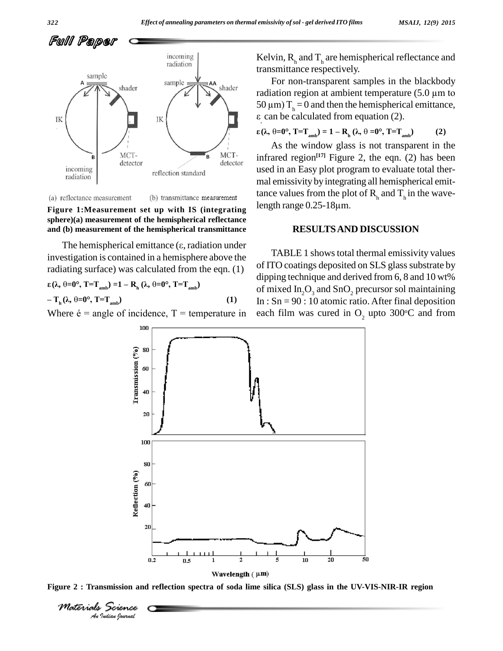

(a) reflectance measurement

(b) transmittance measurement

**Figure 1:Measurement set up with IS (integrating sphere)(a) measurement of the hemispherical reflectance and (b) measurement of the hemispherical transmittance**

The hemispherical emittance  $(\epsilon,$  radiation under investigation is contained in a hemisphere above the radiating surface) was calculated from the eqn.  $(1)$  of  $\frac{1}{n}$ **(Î, =0°, T=Tamb) =1 <sup>ñ</sup> <sup>R</sup><sup>h</sup> (Î, =0°, T=Tamb) <sup>ñ</sup>**

 $(\lambda, \theta=0^{\circ}, T=T_{amb}) = 1 - R_h (\lambda, \theta=0^{\circ}, T=T_{amb})$ <br>  $T_h (\lambda, \theta=0^{\circ}, T=T_{amb})$  (1)  $-T_h(\lambda, \theta=0^\circ, T=T_{amb})$  (1)<br>Where  $\acute{e}$  = angle of incidence, T = temperature in

Kelvin,  $R_h$  and  $T_h$  are hemispherical reflectance and transmittance respectively.

For non-transparent samples in the blackbody radiation region at ambient temperature  $(5.0 \mu m)$  to 50  $\mu$ m) T<sub>h</sub> = 0 and then the hemispherical emittance,  $\varepsilon$  can be calculated from equation (2).<br>  $\varepsilon(\lambda, \theta=0^\circ, T=T_{amb}) = 1 - R_h(\lambda, \theta=0^\circ, T=T_{amb})$  (2)

$$
\varepsilon(\lambda, \theta = 0^\circ, T = T_{\text{amb}}) = 1 - R_{\text{h}}(\lambda, \theta = 0^\circ, T = T_{\text{amb}})
$$
 (2)

As the window glass is not transparent in the infrared region **[17]** Figure 2, the eqn. (2) has been used in an Easy plot program to evaluate total ther mal emissivity by integrating all hemispherical emittance values from the plot of  $R_h$  and  $T_h$  in the wavemal emissivity by integrating a<br>tance values from the plot of<br>length range 0.25-18µm.

#### **RESULTSAND DISCUSSION**

TABLE 1 shows total thermal emissivity values of ITO coatings deposited on SLS glass substrate by dipping technique and derived from 6, 8 and 10 wt% of mixed  $In_2O_3$  and  $SnO_2$  precursor sol maintaining In :  $Sn = 90$  : 10 atomic ratio. After final deposition each film was cured in  $O_2$  upto 300°C and from



Figure 2 : Transmission and reflection spectra of soda lime silica (SLS) glass in the UV-VIS-NIR-IR region

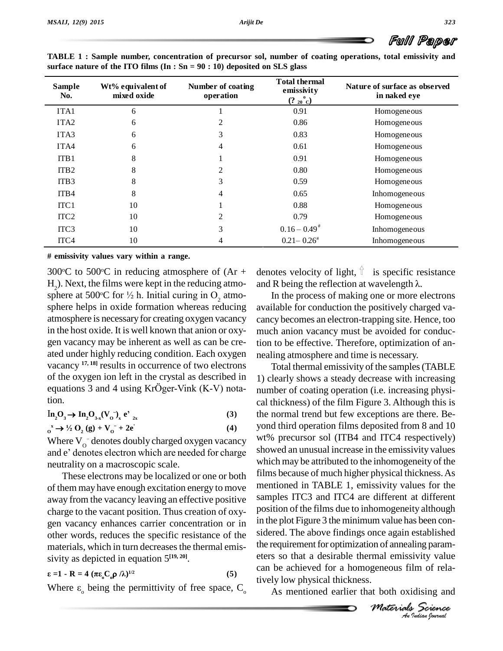| <b>Sample</b><br>No. | Wt% equivalent of<br>mixed oxide | Number of coating<br>operation | <b>Total thermal</b><br>emissivity<br>$(2_{20}^{\circ}C)$ | Nature of surface as observed<br>in naked eye |  |
|----------------------|----------------------------------|--------------------------------|-----------------------------------------------------------|-----------------------------------------------|--|
| ITA1                 | 6                                |                                | 0.91                                                      | Homogeneous                                   |  |
| ITA <sub>2</sub>     | 6                                | 2                              | 0.86                                                      | Homogeneous                                   |  |
| ITA <sub>3</sub>     | 6                                | 3                              | 0.83                                                      | Homogeneous                                   |  |
| ITA4                 | 6                                | 4                              | 0.61                                                      | Homogeneous                                   |  |
| ITB1                 | 8                                |                                | 0.91                                                      | Homogeneous                                   |  |
| ITB <sub>2</sub>     | 8                                | 2                              | 0.80                                                      | Homogeneous                                   |  |
| ITB <sub>3</sub>     | 8                                | 3                              | 0.59                                                      | Homogeneous                                   |  |
| ITB4                 | 8                                | 4                              | 0.65                                                      | Inhomogeneous                                 |  |
| ITC <sub>1</sub>     | 10                               |                                | 0.88                                                      | Homogeneous                                   |  |
| ITC <sub>2</sub>     | 10                               | 2                              | 0.79                                                      | Homogeneous                                   |  |
| ITC <sub>3</sub>     | 10                               | 3                              | $0.16 - 0.49^*$                                           | Inhomogeneous                                 |  |
| ITC4                 | 10                               | 4                              | $0.21 - 0.26^*$                                           | Inhomogeneous                                 |  |

**TABLE 1 : Sample number, concentration of precursor sol, number of coating operations, total emissivity and surface nature of the ITO films (In : Sn = 90 : 10) deposited on SLS glass**

**# emissivity values vary within a range.**

300 °C to 500 °C in reducing atmosphere of  $(Ar +$  denotes  $H_2$ ). Next, the films were kept in the reducing atmo-<br>sphere at 500°C for  $\frac{1}{2}$  h. Initial curing in O<sub>2</sub> atmo-300°C to 500°C in reducing atmosphere of  $(Ar + dm)$ . Next, the films were kept in the reducing atmo-<br>sphere at 500°C for  $\frac{1}{2}$  h. Initial curing in O<sub>2</sub> atmo-<br>sphere helps in oxide formation whereas reducing available atmosphere is necessary for creating oxygen vacancy in the host oxide. It is well known that anion or oxy gen vacancy may be inherent as well as can be cre ated under highly reducing condition. Each oxygen vacancy <sup>17, 18</sup>] results in occurrence of two electrons of the oxygen ion left in the crystal as described in 1) cl equations 3 and 4 using KrÖger-Vink (K-V) notaof the oxygen ion left in the crystal as described in tion.  $\ln_2 O_3 \rightarrow \ln_2 O_{3-x} (V_0^-)_x e^t_{2x}$ 

**2x (3)**  $\ln_2\Omega_3 \to \ln_2\Omega_{3-x} (V_0^{\circ})_x e^y_{2x}$ <br>  $\omega_0^x \to \frac{1}{2}\Omega_2 (g) + V_0^{\circ} + 2e^y_{2x}$  $\mathbf{n}_2 \mathbf{O}_3$  -**··í**

**(4)**

Where  $V_0$  denotes doubly charged oxygen vacancy  $\frac{WV}{Q}$  $\alpha_0^* \rightarrow \frac{1}{2}$  O<sub>2</sub> (g) + V<sub>0</sub> + 2e' (4) yond<br>Where V<sub>0</sub> denotes doubly charged oxygen vacancy wt%<br>and e' denotes electron which are needed for charge show neutrality on a macroscopic scale.

These electrons may be localized or one or both of them may have enough excitation energy to move away from the vacancy leaving an effective positive charge to the vacant position. Thus creation of oxy gen vacancy enhances carrier concentration or in other words, reduces the specific resistance of the materials, which in turn decreases the thermal emis**a c c** *c c c c c c c c c c c c c c c c c c c c c c c c c c c c c c c c c c c* 

Sivity as depicted in equation 
$$
3^{12}
$$
,  
\nε = 1 - R = 4 (πε<sub>0</sub>C<sub>0</sub> β)<sup>1/2</sup> (5)  
\nWhere ε<sub>0</sub> being the permittivity of free space, C<sub>0</sub>

denotes velocity of light,  $\hat{I}$  is specific resistance denotes velocity of light,  $\hat{\parallel}$  is specific resistand R being the reflection at wavelength  $\lambda$ .

In the process of making one or more electrons available for conduction the positively charged va cancy becomes an electron-trapping site.Hence, too much anion vacancy must be avoided for conduction to be effective. Therefore, optimization of an nealing atmosphere and time is necessary.

*M M Indian M M Indian Materials Science*<br> *Materials Science*<br> *Materials Science*<br> *A Mudian bornal* the requirement for optimization of annealing param-Total thermal emissivity of the samples(TABLE 1) clearly shows a steady decrease with increasing number of coating operation (i.e. increasing physical thickness) of the film Figure 3. Although this is the normal trend but few exceptions are there. Be yond third operation films deposited from 8 and 10 wt% precursor sol (ITB4 and ITC4 respectively) showed an unusual increase in the emissivity values which may be attributed to the inhomogeneity of the films because of much higher physical thickness.As mentioned in TABLE 1, emissivity values for the samples ITC3 and ITC4 are different at different position of the films due to inhomogeneity although in the plot Figure 3 the minimum value has been con sidered. The above findings once again established eters so that a desirable thermal emissivity value can be achieved for a homogeneous film of relatively low physical thickness.

As mentioned earlier that both oxidising and

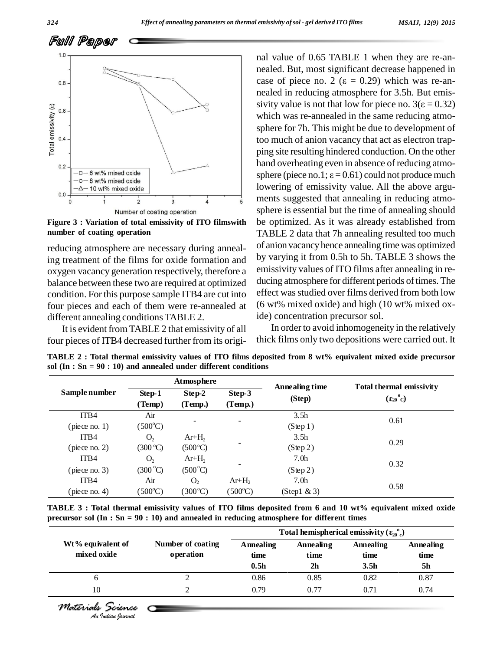

**Figure 3 : Variation of total emissivity ofITO filmswith number of coating operation**

reducing atmosphere are necessary during annealing treatment of the films for oxide formation and oxygen vacancy generation respectively, therefore a balance between these two are required at optimized condition. For this purpose sample ITB4 are cut into four pieces and each of them were re-annealed at different annealing conditions TABLE 2.

It is evident from TABLE 2 that emissivity of all four pieces of ITB4 decreased further from its origi-

nal value of 0.65 TABLE 1 when they are re-annealed. But, most significant decrease happened in nal value of 0.65 TABLE 1 when they are re-an-<br>nealed. But, most significant decrease happened in<br>case of piece no. 2 ( $\varepsilon = 0.29$ ) which was re-annealed in reducing atmosphere for 3.5h. But emis case of piece no. 2 ( $\varepsilon = 0.29$ ) which was re-an-<br>nealed in reducing atmosphere for 3.5h. But emis-<br>sivity value is not that low for piece no.  $3(\varepsilon = 0.32)$ which was re-annealed in the same reducing atmo sphere for 7h. This might be due to development of too much of anion vacancy that act as electron trapping site resulting hindered conduction. On the other hand overheating even in absence of reducing atmo sphere (piece no.1;  $\varepsilon$  = 0.61) could not produce much lowering of emissivity value. All the above argu ments suggested that annealing in reducing atmo sphere is essential but the time of annealing should be optimized. As it was already established from TABLE 2 data that 7h annealing resulted too much of anion vacancyhence annealing time was optimized by varying it from 0.5h to 5h. TABLE 3 shows the emissivity values of ITO films after annealing in re ducing atmosphere for different periods of times. The effect was studied over films derived from both low (6 wt% mixed oxide) and high (10 wt% mixed oxide) concentration precursor sol.

In order to avoid inhomogeneity in the relatively thick films only two depositions were carried out. It

|               | Atmosphere       |                   |                          |                          |                                                        |  |
|---------------|------------------|-------------------|--------------------------|--------------------------|--------------------------------------------------------|--|
| Sample number | Step-1<br>(Temp) | Step-2<br>(Temp.) | Step-3<br>(Temp.)        | Annealing time<br>(Step) | Total thermal emissivity<br>$(\epsilon_{20}^{\circ}C)$ |  |
| ITB4<br>Air   |                  | 3.5 <sub>h</sub>  | 0.61                     |                          |                                                        |  |
| (piece no. 1) | $(500^{\circ}C)$ |                   | $\overline{\phantom{0}}$ | $(S \text{tep} 1)$       |                                                        |  |
| ITB4          | O <sub>2</sub>   | $Ar+H2$           |                          | 3.5 <sub>h</sub>         | 0.29                                                   |  |
| (piece no. 2) | (300 °C)         | $(500^{\circ}C)$  |                          | $(S \nleftrightarrow 2)$ |                                                        |  |
| ITB4          | O <sub>2</sub>   | $Ar+H2$           |                          | 7.0 <sub>h</sub>         | 0.32                                                   |  |
| (piece no. 3) | $(300^{\circ}C)$ | $(500^{\circ}C)$  |                          | $(S \nleftrightarrow 2)$ |                                                        |  |
| ITB4          | Air              | O <sub>2</sub>    | $Ar+H2$                  | 7.0 <sub>h</sub>         |                                                        |  |
| (piece no. 4) | $(500^{\circ}C)$ | $(300^{\circ}C)$  | $(500^{\circ}C)$         | $(Step1 \& 3)$           | 0.58                                                   |  |

TABLE 2 : Total thermal emissivity values of ITO films deposited from 8 wt% equivalent mixed oxide precursor **sol (In : Sn = 90 : 10) and annealed under different conditions**

precursor sol (In : Sn = 90 : 10) and annealed in reducing atmosphere for different times<br>Total hemispherical emissivity ( $\epsilon_{20}^{\circ}$ ) TABLE 3: Total thermal emissivity values of ITO films deposited from 6 and 10 wt% equivalent mixed oxide

|                                  |                                | Total hemispherical emissivity $(\epsilon_{20}^{\circ})$ |                                     |                                       |                         |
|----------------------------------|--------------------------------|----------------------------------------------------------|-------------------------------------|---------------------------------------|-------------------------|
| Wt% equivalent of<br>mixed oxide | Number of coating<br>operation | Annealing<br>time<br>0.5 <sub>h</sub>                    | Annealing<br>time<br>2 <sub>h</sub> | Annealing<br>time<br>3.5 <sub>h</sub> | Annealing<br>time<br>5h |
| 6                                |                                | 0.86                                                     | 0.85                                | 0.82                                  | 0.87                    |
| 10                               |                                | 0.79                                                     | 0.77                                | 0.71                                  | 0.74                    |

*Materials Science*